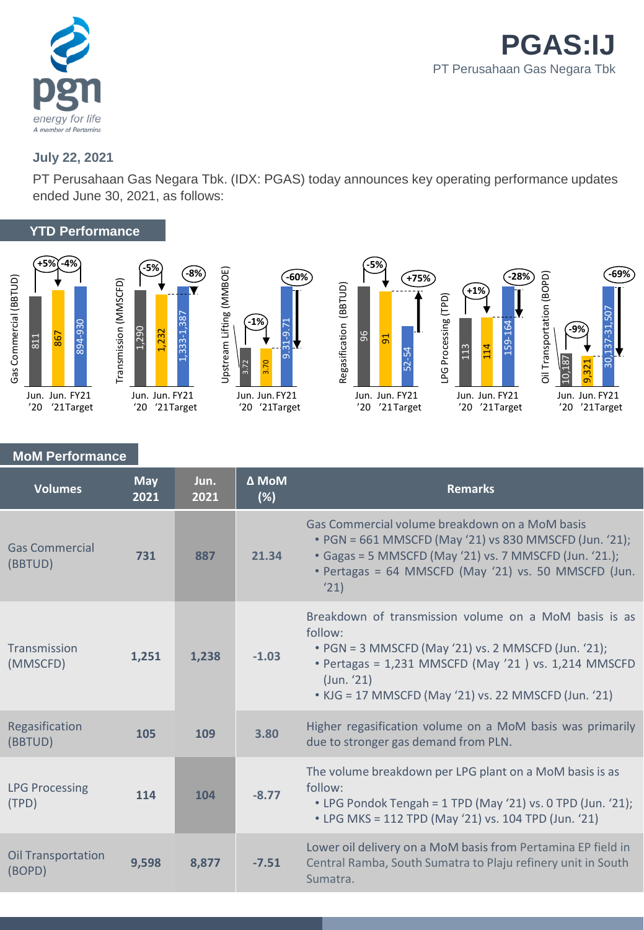

# **July 22, 2021**

PT Perusahaan Gas Negara Tbk. (IDX: PGAS) today announces key operating performance updates ended June 30, 2021, as follows:

## **YTD Performance**









# **MoM Performance**

| <b>Volumes</b>                      | <b>May</b><br>2021 | Jun.<br>2021 | Δ MoM<br>(%) | <b>Remarks</b>                                                                                                                                                                                                                                        |
|-------------------------------------|--------------------|--------------|--------------|-------------------------------------------------------------------------------------------------------------------------------------------------------------------------------------------------------------------------------------------------------|
| <b>Gas Commercial</b><br>(BBTUD)    | 731                | 887          | 21.34        | Gas Commercial volume breakdown on a MoM basis<br>• PGN = 661 MMSCFD (May '21) vs 830 MMSCFD (Jun. '21);<br>• Gagas = 5 MMSCFD (May '21) vs. 7 MMSCFD (Jun. '21.);<br>• Pertagas = 64 MMSCFD (May '21) vs. 50 MMSCFD (Jun.<br>'21)                    |
| Transmission<br>(MMSCFD)            | 1,251              | 1,238        | $-1.03$      | Breakdown of transmission volume on a MoM basis is as<br>follow:<br>• PGN = 3 MMSCFD (May '21) vs. 2 MMSCFD (Jun. '21);<br>• Pertagas = 1,231 MMSCFD (May '21) vs. 1,214 MMSCFD<br>(Jun. '21)<br>• KJG = 17 MMSCFD (May '21) vs. 22 MMSCFD (Jun. '21) |
| Regasification<br>(BBTUD)           | 105                | 109          | 3.80         | Higher regasification volume on a MoM basis was primarily<br>due to stronger gas demand from PLN.                                                                                                                                                     |
| <b>LPG Processing</b><br>(TPD)      | 114                | 104          | $-8.77$      | The volume breakdown per LPG plant on a MoM basis is as<br>follow:<br>• LPG Pondok Tengah = 1 TPD (May '21) vs. 0 TPD (Jun. '21);<br>• LPG MKS = 112 TPD (May '21) vs. 104 TPD (Jun. '21)                                                             |
| <b>Oil Transportation</b><br>(BOPD) | 9,598              | 8,877        | $-7.51$      | Lower oil delivery on a MoM basis from Pertamina EP field in<br>Central Ramba, South Sumatra to Plaju refinery unit in South<br>Sumatra.                                                                                                              |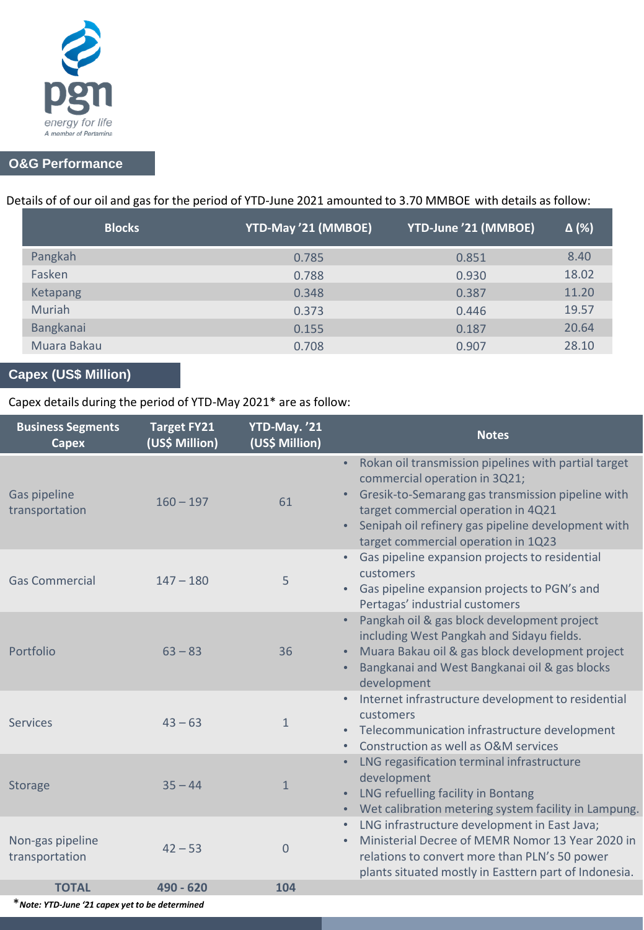

# **O&G Performance**

# Details of of our oil and gas for the period of YTD-June 2021 amounted to 3.70 MMBOE with details as follow:

| <b>Blocks</b> | YTD-May '21 (MMBOE) | YTD-June '21 (MMBOE) | $\Delta$ (%) |
|---------------|---------------------|----------------------|--------------|
| Pangkah       | 0.785               | 0.851                | 8.40         |
| Fasken        | 0.788               | 0.930                | 18.02        |
| Ketapang      | 0.348               | 0.387                | 11.20        |
| Muriah        | 0.373               | 0.446                | 19.57        |
| Bangkanai     | 0.155               | 0.187                | 20.64        |
| Muara Bakau   | 0.708               | 0.907                | 28.10        |

# **Capex (US\$ Million)**

## Capex details during the period of YTD-May 2021\* are as follow:

| <b>Business Segments</b><br><b>Capex</b> | <b>Target FY21</b><br>(US\$ Million) | YTD-May. '21<br>(US\$ Million) | <b>Notes</b>                                                                                                                                                                                                                                                                                  |
|------------------------------------------|--------------------------------------|--------------------------------|-----------------------------------------------------------------------------------------------------------------------------------------------------------------------------------------------------------------------------------------------------------------------------------------------|
| Gas pipeline<br>transportation           | $160 - 197$                          | 61                             | Rokan oil transmission pipelines with partial target<br>$\bullet$ .<br>commercial operation in 3Q21;<br>Gresik-to-Semarang gas transmission pipeline with<br>target commercial operation in 4Q21<br>Senipah oil refinery gas pipeline development with<br>target commercial operation in 1Q23 |
| <b>Gas Commercial</b>                    | $147 - 180$                          | 5                              | Gas pipeline expansion projects to residential<br>customers<br>Gas pipeline expansion projects to PGN's and<br>Pertagas' industrial customers                                                                                                                                                 |
| Portfolio                                | $63 - 83$                            | 36                             | Pangkah oil & gas block development project<br>including West Pangkah and Sidayu fields.<br>Muara Bakau oil & gas block development project<br>Bangkanai and West Bangkanai oil & gas blocks<br>development                                                                                   |
| <b>Services</b>                          | $43 - 63$                            | $\mathbf{1}$                   | Internet infrastructure development to residential<br>customers<br>• Telecommunication infrastructure development<br>Construction as well as O&M services                                                                                                                                     |
| <b>Storage</b>                           | $35 - 44$                            | $\mathbf{1}$                   | LNG regasification terminal infrastructure<br>development<br>LNG refuelling facility in Bontang<br>Wet calibration metering system facility in Lampung.                                                                                                                                       |
| Non-gas pipeline<br>transportation       | $42 - 53$                            | $\Omega$                       | LNG infrastructure development in East Java;<br>Ministerial Decree of MEMR Nomor 13 Year 2020 in<br>relations to convert more than PLN's 50 power<br>plants situated mostly in Easttern part of Indonesia.                                                                                    |
| <b>TOTAL</b>                             | 490 - 620                            | 104                            |                                                                                                                                                                                                                                                                                               |

\**Note: YTD-June '21 capex yet to be determined*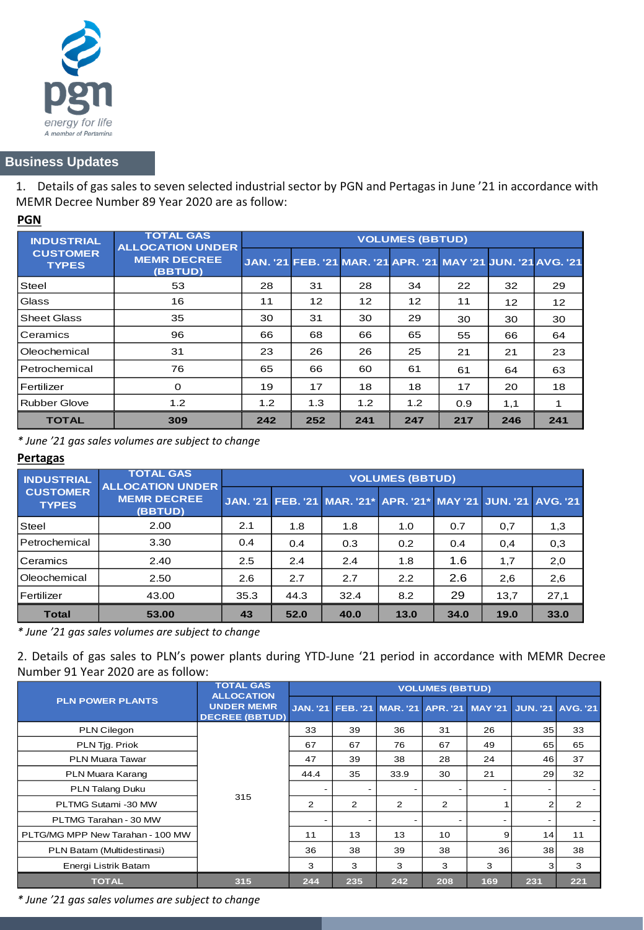

### **Business Updates**

1. Details of gas sales to seven selected industrial sector by PGN and Pertagasin June '21 in accordance with MEMR Decree Number 89 Year 2020 are as follow:

#### **PGN**

| <b>INDUSTRIAL</b>               | <b>TOTAL GAS</b><br><b>ALLOCATION UNDER</b> | <b>VOLUMES (BBTUD)</b> |     |                                                               |     |     |     |     |  |
|---------------------------------|---------------------------------------------|------------------------|-----|---------------------------------------------------------------|-----|-----|-----|-----|--|
| <b>CUSTOMER</b><br><b>TYPES</b> | <b>MEMR DECREE</b><br>(BBTUD)               |                        |     | JAN. '21 FEB. '21 MAR. '21 APR. '21 MAY '21 JUN. '21 AVG. '21 |     |     |     |     |  |
| Steel                           | 53                                          | 28                     | 31  | 28                                                            | 34  | 22  | 32  | 29  |  |
| Glass                           | 16                                          | 11                     | 12  | 12                                                            | 12  | 11  | 12  | 12  |  |
| <b>Sheet Glass</b>              | 35                                          | 30                     | 31  | 30                                                            | 29  | 30  | 30  | 30  |  |
| Ceramics                        | 96                                          | 66                     | 68  | 66                                                            | 65  | 55  | 66  | 64  |  |
| Oleochemical                    | 31                                          | 23                     | 26  | 26                                                            | 25  | 21  | 21  | 23  |  |
| Petrochemical                   | 76                                          | 65                     | 66  | 60                                                            | 61  | 61  | 64  | 63  |  |
| Fertilizer                      | $\Omega$                                    | 19                     | 17  | 18                                                            | 18  | 17  | 20  | 18  |  |
| Rubber Glove                    | 1.2                                         | 1.2                    | 1.3 | 1.2                                                           | 1.2 | 0.9 | 1,1 |     |  |
| <b>TOTAL</b>                    | 309                                         | 242                    | 252 | 241                                                           | 247 | 217 | 246 | 241 |  |

*\* June '21 gas sales volumes are subject to change*

### **Pertagas**

| <b>INDUSTRIAL</b>               | <b>TOTAL GAS</b><br><b>ALLOCATION UNDER</b> | <b>VOLUMES (BBTUD)</b> |      |                                                                 |      |      |      |      |  |  |
|---------------------------------|---------------------------------------------|------------------------|------|-----------------------------------------------------------------|------|------|------|------|--|--|
| <b>CUSTOMER</b><br><b>TYPES</b> | <b>MEMR DECREE</b><br>(BBTUD)               |                        |      | JAN. '21 FEB. '21 MAR. '21* APR. '21* MAY '21 JUN. '21 AVG. '21 |      |      |      |      |  |  |
| <b>Steel</b>                    | 2.00                                        | 2.1                    | 1.8  | 1.8                                                             | 1.0  | 0.7  | 0,7  | 1,3  |  |  |
| Petrochemical                   | 3.30                                        | 0.4                    | 0.4  | 0.3                                                             | 0.2  | 0.4  | 0,4  | 0,3  |  |  |
| Ceramics                        | 2.40                                        | 2.5                    | 2.4  | 2.4                                                             | 1.8  | 1.6  | 1,7  | 2,0  |  |  |
| Oleochemical                    | 2.50                                        | 2.6                    | 2.7  | 2.7                                                             | 2.2  | 2.6  | 2,6  | 2,6  |  |  |
| Fertilizer                      | 43.00                                       | 35.3                   | 44.3 | 32.4                                                            | 8.2  | 29   | 13,7 | 27,1 |  |  |
| <b>Total</b>                    | 53.00                                       | 43                     | 52.0 | 40.0                                                            | 13.0 | 34.0 | 19.0 | 33.0 |  |  |

*\* June '21 gas sales volumes are subject to change*

2. Details of gas sales to PLN's power plants during YTD-June '21 period in accordance with MEMR Decree Number 91 Year 2020 are as follow:

|                                  | <b>TOTAL GAS</b><br><b>ALLOCATION</b>      | <b>VOLUMES (BBTUD)</b>   |     |                                             |     |     |                          |     |  |
|----------------------------------|--------------------------------------------|--------------------------|-----|---------------------------------------------|-----|-----|--------------------------|-----|--|
| <b>PLN POWER PLANTS</b>          | <b>UNDER MEMR</b><br><b>DECREE (BBTUD)</b> |                          |     | JAN. '21 FEB. '21 MAR. '21 APR. '21 MAY '21 |     |     | <b>JUN. '21 AVG. '21</b> |     |  |
| PLN Cilegon                      |                                            | 33                       | 39  | 36                                          | 31  | 26  | 35 <sub>1</sub>          | 33  |  |
| PLN Tig. Priok                   |                                            | 67                       | 67  | 76                                          | 67  | 49  | 65                       | 65  |  |
| PLN Muara Tawar                  |                                            | 47                       | 39  | 38                                          | 28  | 24  | 46                       | 37  |  |
| PLN Muara Karang                 |                                            | 44.4                     | 35  | 33.9                                        | 30  | 21  | 29                       | 32  |  |
| PLN Talang Duku                  |                                            |                          |     |                                             |     | ۰   |                          |     |  |
| PLTMG Sutami -30 MW              | 315                                        | $\overline{2}$           | 2   | 2                                           | 2   |     | 2                        | 2   |  |
| PLTMG Tarahan - 30 MW            |                                            | $\overline{\phantom{0}}$ |     |                                             |     | ۰   | $\overline{\phantom{a}}$ |     |  |
| PLTG/MG MPP New Tarahan - 100 MW |                                            | 11                       | 13  | 13                                          | 10  | 9   | 14                       | 11  |  |
| PLN Batam (Multidestinasi)       |                                            | 36                       | 38  | 39                                          | 38  | 36  | 38                       | 38  |  |
| Energi Listrik Batam             |                                            | 3                        | 3   | 3                                           | 3   | 3   | 3                        | 3   |  |
| <b>TOTAL</b>                     | 315                                        | 244                      | 235 | 242                                         | 208 | 169 | 231                      | 221 |  |

*\* June '21 gas sales volumes are subject to change*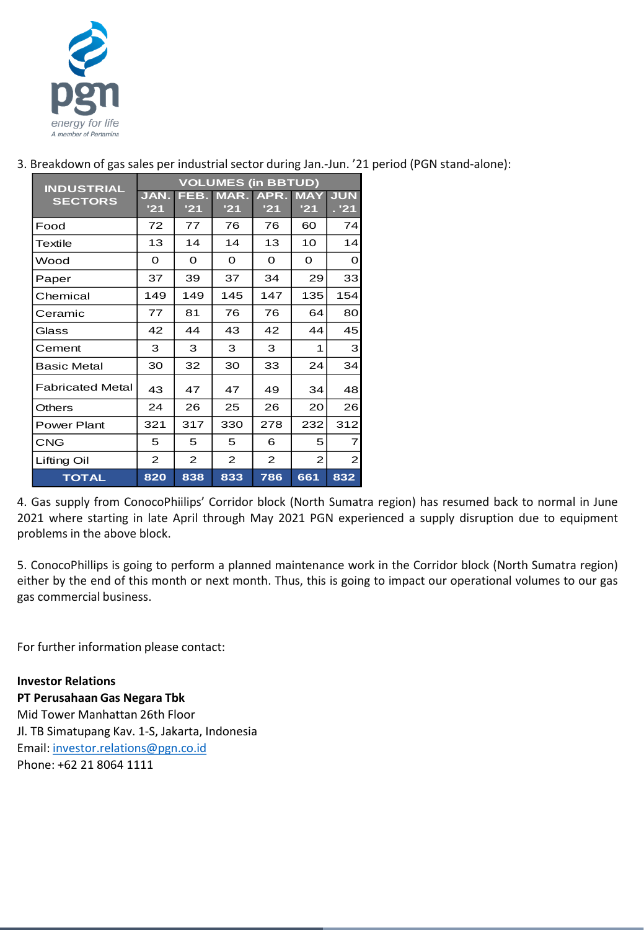

| <b>INDUSTRIAL</b>       | <b>VOLUMES (in BBTUD)</b> |              |             |             |                   |                     |  |  |  |
|-------------------------|---------------------------|--------------|-------------|-------------|-------------------|---------------------|--|--|--|
| <b>SECTORS</b>          | JAN.<br>'21               | FEB.<br>'21  | MAR.<br>'21 | APR.<br>'21 | <b>MAY</b><br>'21 | <b>JUN</b><br>. '21 |  |  |  |
| Food                    | 72                        | 77           | 76          | 76          | 60                | 74                  |  |  |  |
| Textile                 | 13                        | 14           | 14          | 13          | 10                | 14                  |  |  |  |
| Wood                    | Ο                         | $\Omega$     | Ο           | Ω           | O                 | Ο                   |  |  |  |
| Paper                   | 37                        | 39           | 37          | 34          | 29                | 33                  |  |  |  |
| Chemical                | 149                       | 149          | 145         | 147         | 135               | 154                 |  |  |  |
| Ceramic                 | 77                        | 81           | 76          | 76          | 64                | 80                  |  |  |  |
| Glass                   | 42                        | 44           | 43          | 42          | 44                | 45                  |  |  |  |
| Cement                  | 3                         | 3            | 3           | 3           | 1                 | 3                   |  |  |  |
| Basic Metal             | 30                        | 32           | 30          | 33          | 24                | 34                  |  |  |  |
| <b>Fabricated Metal</b> | 43                        | 47           | 47          | 49          | 34                | 48                  |  |  |  |
| <b>Others</b>           | 24                        | 26           | 25          | 26          | 20                | 26                  |  |  |  |
| <b>Power Plant</b>      | 321                       | 317          | 330         | 278         | 232               | 312                 |  |  |  |
| <b>CNG</b>              | 5                         | 5            | 5           | 6           | 5                 | 7                   |  |  |  |
| Lifting Oil             | 2                         | $\mathbf{2}$ | 2           | 2           | $\overline{2}$    | $\overline{2}$      |  |  |  |
| <b>TOTAL</b>            | 820                       | 838          | 833         | 786         | 661               | 832                 |  |  |  |

3. Breakdown of gas sales per industrial sector during Jan.-Jun. '21 period (PGN stand-alone):

4. Gas supply from ConocoPhiilips' Corridor block (North Sumatra region) has resumed back to normal in June 2021 where starting in late April through May 2021 PGN experienced a supply disruption due to equipment problems in the above block.

5. ConocoPhillips is going to perform a planned maintenance work in the Corridor block (North Sumatra region) either by the end of this month or next month. Thus, this is going to impact our operational volumes to our gas gas commercial business.

For further information please contact:

**Investor Relations PT Perusahaan Gas Negara Tbk** Mid Tower Manhattan 26th Floor Jl. TB Simatupang Kav. 1-S, Jakarta, Indonesia Email: [investor.relations@pgn.co.id](mailto:investor.relations@pgn.co.id) Phone: +62 21 8064 1111